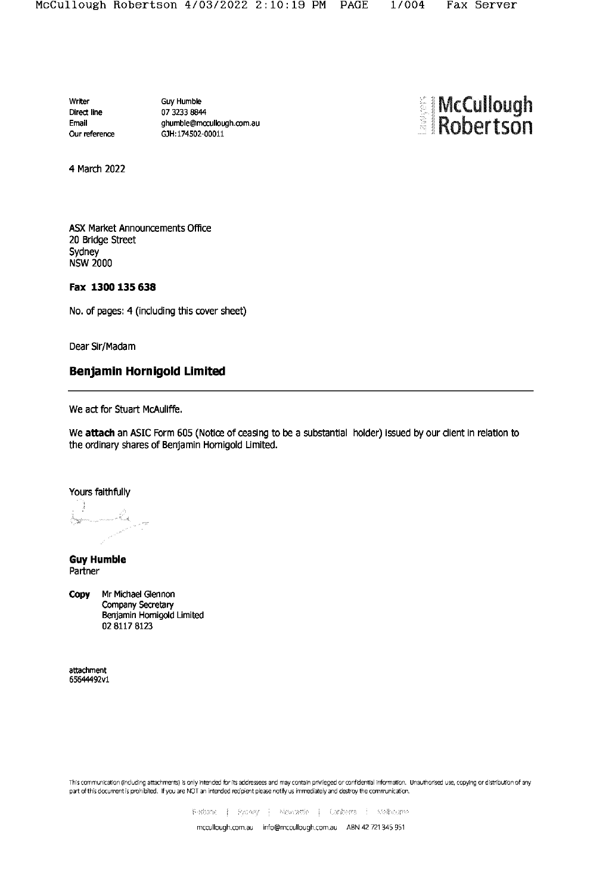Writer Direct line Email Our reference **Guy Humble** 07 3233 8844 ghumble@mccullough.com.au GJH:174502-00011



4 March 2022

ASX Market Announcements Office 20 Bridge Street Sydney **NSW 2000** 

### Fax 1300 135 638

No. of pages: 4 (including this cover sheet)

Dear Sir/Madam

# Benjamin Hornigold Limited

We act for Stuart McAuliffe.

We attach an ASIC Form 605 (Notice of ceasing to be a substantial holder) issued by our client in relation to the ordinary shares of Benjamin Hornigold Limited.

Yours faithfully

e<sub>lang</sub> pananan Saak.<br>Saak

**Guy Humble** Partner

Mr Michael Glennon Copy Company Secretary Benjamin Hornigold Limited 02 8117 8123

attachment 65644492v1

This communication (including attachments) is only intended for its addressees and may contain privileged or confidential information. Unauthorised use, copying or distribution of any part of this document is prohibited. If you are NOT an intended recipient please notify us immediately and destroy the communication.

Bistoarie | Synney | Newnestle | Controra | Stellsburge

mccullough.com.au info@mccullough.com.au ABN 42 721 345 951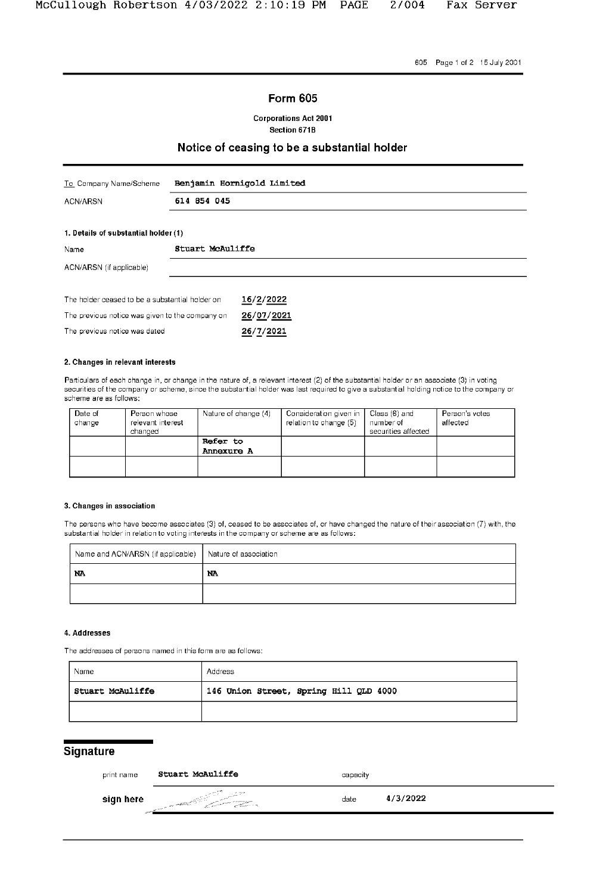605 Page 1 of 2 15 July 2001

## **Form 605**

**Corporations Act 2001** Section 671B

## Notice of ceasing to be a substantial holder

| To Company Name/Scheme                          | Benjamin Hornigold Limited |            |  |
|-------------------------------------------------|----------------------------|------------|--|
| <b>ACN/ARSN</b>                                 | 614 854 045                |            |  |
|                                                 |                            |            |  |
| 1. Details of substantial holder (1)            |                            |            |  |
| Name                                            | Stuart McAuliffe           |            |  |
| ACN/ARSN (if applicable)                        |                            |            |  |
|                                                 |                            |            |  |
| The holder ceased to be a substantial holder on |                            | 16/2/2022  |  |
| The previous notice was given to the company on |                            | 26/07/2021 |  |
| The previous notice was dated                   |                            | 26/7/2021  |  |

#### 2. Changes in relevant interests

Particulars of each change in, or change in the nature of, a relevant interest (2) of the substantial holder or an associate (3) in voting<br>securities of the company or scheme, since the substantial holder was last required scheme are as follows:

| Date of<br>change | Person whose<br>relevant interest<br>changed | Nature of change (4)   | Consideration given in<br>relation to change (5) | Class (6) and<br>number of<br>securities affected | Person's votes<br>affected |
|-------------------|----------------------------------------------|------------------------|--------------------------------------------------|---------------------------------------------------|----------------------------|
|                   |                                              | Refer to<br>Annexure A |                                                  |                                                   |                            |
|                   |                                              |                        |                                                  |                                                   |                            |
|                   |                                              |                        |                                                  |                                                   |                            |

#### 3. Changes in association

The persons who have become associates (3) of, ceased to be associates of, or have changed the nature of their association (7) with, the substantial holder in relation to voting interests in the company or scheme are as follows:

| Name and ACN/ARSN (if applicable) Nature of association |    |  |
|---------------------------------------------------------|----|--|
| NA                                                      | NA |  |
|                                                         |    |  |

#### 4. Addresses

The addresses of persons named in this form are as follows:

| Name                    | Address                                |  |  |
|-------------------------|----------------------------------------|--|--|
| <b>Stuart McAuliffe</b> | 146 Union Street, Spring Hill QLD 4000 |  |  |
|                         |                                        |  |  |

# Signature

| print name | <b>Stuart McAuliffe</b>                                                              | capacity |          |
|------------|--------------------------------------------------------------------------------------|----------|----------|
| sign here  | ್ಷ <i>ವ್ಯಾಸಾದ್</i> <sup>ಚಕ್ರ</sup> ಿ<br>s a universitation.<br>Confliction of the Co | date     | 4/3/2022 |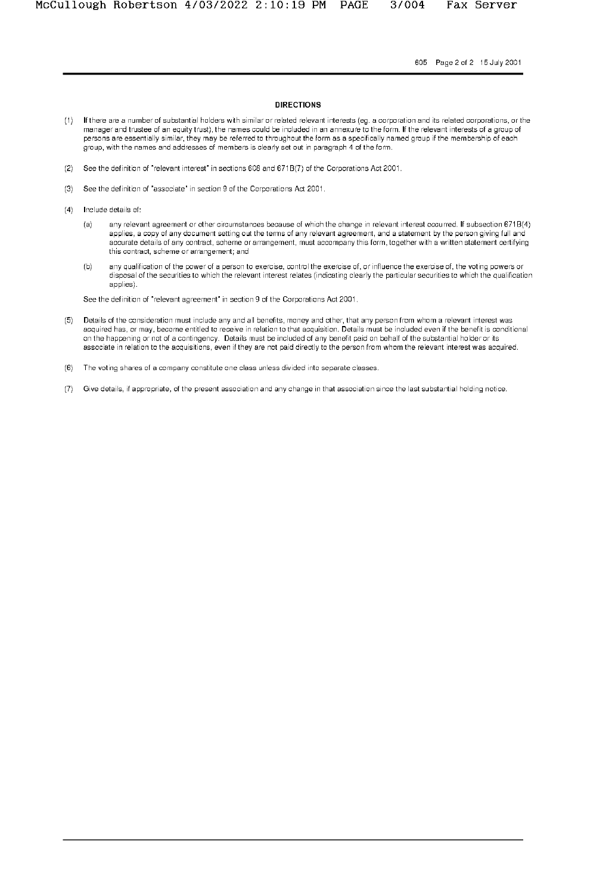Fax Server

605 Page 2 of 2 15 July 2001

#### **DIRECTIONS**

- If there are a number of substantial holders with similar or related relevant interests (eg. a corporation and its related corporations, or the  $(1)$ manager and trustee of an equity trust), the names could be included in an annexure to the form. If the relevant interests of a group of persons are essentially similar, they may be referred to throughout the form as a specifically named group if the membership of each group, with the names and addresses of members is clearly set out in paragraph 4 of the form.
- (2) See the definition of "relevant interest" in sections 608 and 671B(7) of the Corporations Act 2001.
- See the definition of "associate" in section 9 of the Corporations Act 2001.  $(3)$
- $(4)$ Include details of:
	- $(a)$ any relevant agreement or other circumstances because of which the change in relevant interest occurred. If subsection 671B(4) applies, a copy of any document setting out the terms of any relevant agreement, and a statement by the person giving full and accurate details of any contract, scheme or arrangement, must accompany this form, together with a written statement certifying this contract, scheme or arrangement; and
	- any qualification of the power of a person to exercise, control the exercise of, or influence the exercise of, the voting powers or  $(b)$ disposal of the securities to which the relevant interest relates (indicating clearly the particular securities to which the qualification applies).

See the definition of "relevant agreement" in section 9 of the Corporations Act 2001.

- Details of the consideration must include any and all benefits, money and other, that any person from whom a relevant interest was  $(5)$ acquired has, or may, become entitled to receive in relation to that acquisition. Details must be included even if the benefit is conditional on the happening or not of a contingency. Details must be included of any benefit paid on behalf of the substantial holder or its associate in relation to the acquisitions, even if they are not paid directly to the person from whom the relevant interest was acquired.
- (6) The voting shares of a company constitute one class unless divided into separate classes.
- (7) Give details, if appropriate, of the present association and any change in that association since the last substantial holding notice.